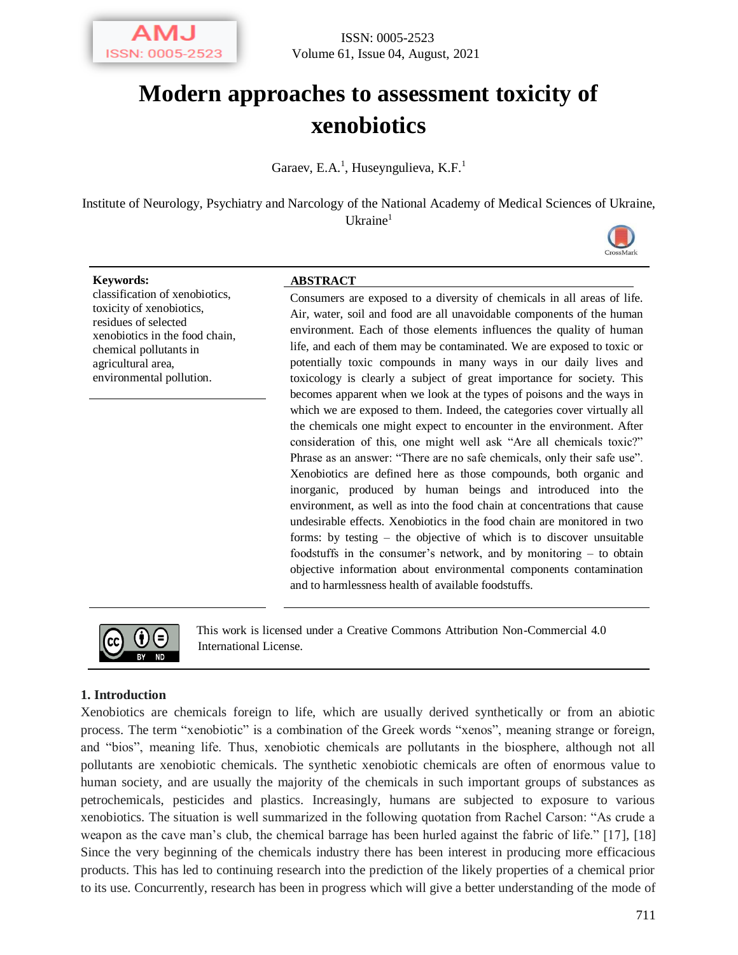

# **Modern approaches to assessment toxicity of xenobiotics**

Garaev, E.A.<sup>1</sup>, Huseyngulieva, K.F.<sup>1</sup>

Institute of Neurology, Psychiatry and Narcology of the National Academy of Medical Sciences of Ukraine, Ukraine $<sup>1</sup>$ </sup>



classification of xenobiotics, toxicity of xenobiotics, residues of selected xenobiotics in the food chain, chemical pollutants in agricultural area, environmental pollution.

### **Keywords: ABSTRACT**

Consumers are exposed to a diversity of chemicals in all areas of life. Air, water, soil and food are all unavoidable components of the human environment. Each of those elements influences the quality of human life, and each of them may be contaminated. We are exposed to toxic or potentially toxic compounds in many ways in our daily lives and toxicology is clearly a subject of great importance for society. This becomes apparent when we look at the types of poisons and the ways in which we are exposed to them. Indeed, the categories cover virtually all the chemicals one might expect to encounter in the environment. After consideration of this, one might well ask "Are all chemicals toxic?" Phrase as an answer: "There are no safe chemicals, only their safe use". Xenobiotics are defined here as those compounds, both organic and inorganic, produced by human beings and introduced into the environment, as well as into the food chain at concentrations that cause undesirable effects. Xenobiotics in the food chain are monitored in two forms: by testing – the objective of which is to discover unsuitable foodstuffs in the consumer's network, and by monitoring – to obtain objective information about environmental components contamination and to harmlessness health of available foodstuffs.



This work is licensed under a Creative Commons Attribution Non-Commercial 4.0 International License.

#### **1. Introduction**

Xenobiotics are chemicals foreign to life, which are usually derived synthetically or from an abiotic process. The term "xenobiotic" is a combination of the Greek words "xenos", meaning strange or foreign, and "bios", meaning life. Thus, xenobiotic chemicals are pollutants in the biosphere, although not all pollutants are xenobiotic chemicals. The synthetic xenobiotic chemicals are often of enormous value to human society, and are usually the majority of the chemicals in such important groups of substances as petrochemicals, pesticides and plastics. Increasingly, humans are subjected to exposure to various xenobiotics. The situation is well summarized in the following quotation from Rachel Carson: "As crude a weapon as the cave man's club, the chemical barrage has been hurled against the fabric of life." [17], [18] Since the very beginning of the chemicals industry there has been interest in producing more efficacious products. This has led to continuing research into the prediction of the likely properties of a chemical prior to its use. Concurrently, research has been in progress which will give a better understanding of the mode of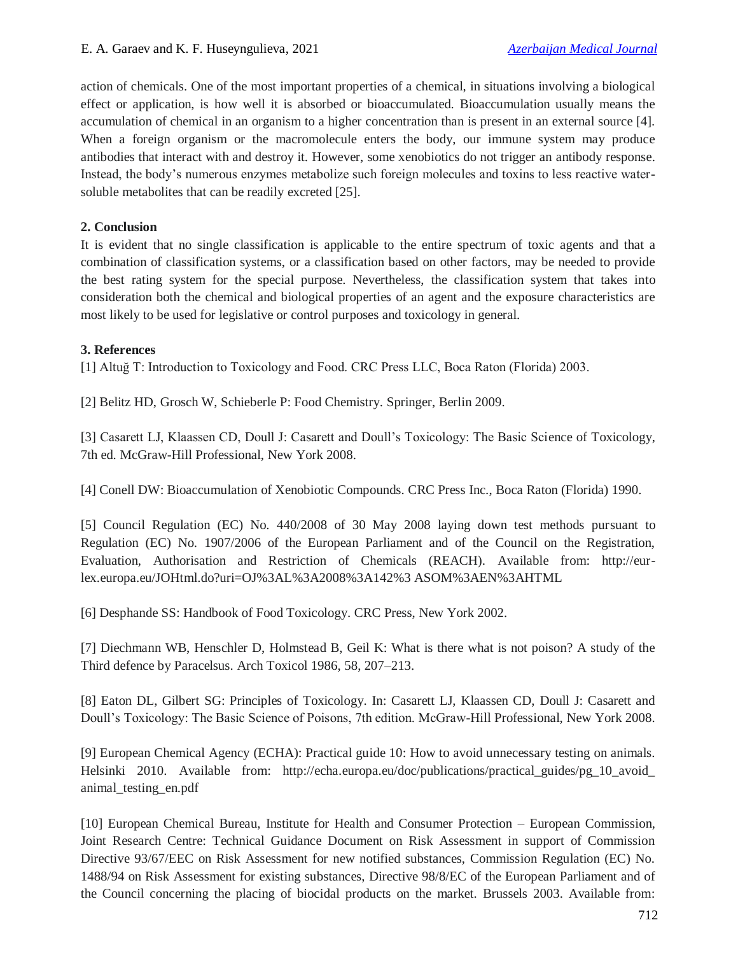action of chemicals. One of the most important properties of a chemical, in situations involving a biological effect or application, is how well it is absorbed or bioaccumulated. Bioaccumulation usually means the accumulation of chemical in an organism to a higher concentration than is present in an external source [4]. When a foreign organism or the macromolecule enters the body, our immune system may produce antibodies that interact with and destroy it. However, some xenobiotics do not trigger an antibody response. Instead, the body's numerous enzymes metabolize such foreign molecules and toxins to less reactive watersoluble metabolites that can be readily excreted [25].

# **2. Conclusion**

It is evident that no single classification is applicable to the entire spectrum of toxic agents and that a combination of classification systems, or a classification based on other factors, may be needed to provide the best rating system for the special purpose. Nevertheless, the classification system that takes into consideration both the chemical and biological properties of an agent and the exposure characteristics are most likely to be used for legislative or control purposes and toxicology in general.

# **3. References**

[1] Altuğ T: Introduction to Toxicology and Food. CRC Press LLC, Boca Raton (Florida) 2003.

[2] Belitz HD, Grosch W, Schieberle P: Food Chemistry. Springer, Berlin 2009.

[3] Casarett LJ, Klaassen CD, Doull J: Casarett and Doull's Toxicology: The Basic Science of Toxicology, 7th ed. McGraw-Hill Professional, New York 2008.

[4] Conell DW: Bioaccumulation of Xenobiotic Compounds. CRC Press Inc., Boca Raton (Florida) 1990.

[5] Council Regulation (EC) No. 440/2008 of 30 May 2008 laying down test methods pursuant to Regulation (EC) No. 1907/2006 of the European Parliament and of the Council on the Registration, Evaluation, Authorisation and Restriction of Chemicals (REACH). Available from: http://eurlex.europa.eu/JOHtml.do?uri=OJ%3AL%3A2008%3A142%3 ASOM%3AEN%3AHTML

[6] Desphande SS: Handbook of Food Toxicology. CRC Press, New York 2002.

[7] Diechmann WB, Henschler D, Holmstead B, Geil K: What is there what is not poison? A study of the Third defence by Paracelsus. Arch Toxicol 1986, 58, 207–213.

[8] Eaton DL, Gilbert SG: Principles of Toxicology. In: Casarett LJ, Klaassen CD, Doull J: Casarett and Doull's Toxicology: The Basic Science of Poisons, 7th edition. McGraw-Hill Professional, New York 2008.

[9] European Chemical Agency (ECHA): Practical guide 10: How to avoid unnecessary testing on animals. Helsinki 2010. Available from: http://echa.europa.eu/doc/publications/practical\_guides/pg\_10\_avoid\_ animal\_testing\_en.pdf

[10] European Chemical Bureau, Institute for Health and Consumer Protection – European Commission, Joint Research Centre: Technical Guidance Document on Risk Assessment in support of Commission Directive 93/67/EEC on Risk Assessment for new notified substances, Commission Regulation (EC) No. 1488/94 on Risk Assessment for existing substances, Directive 98/8/EC of the European Parliament and of the Council concerning the placing of biocidal products on the market. Brussels 2003. Available from: